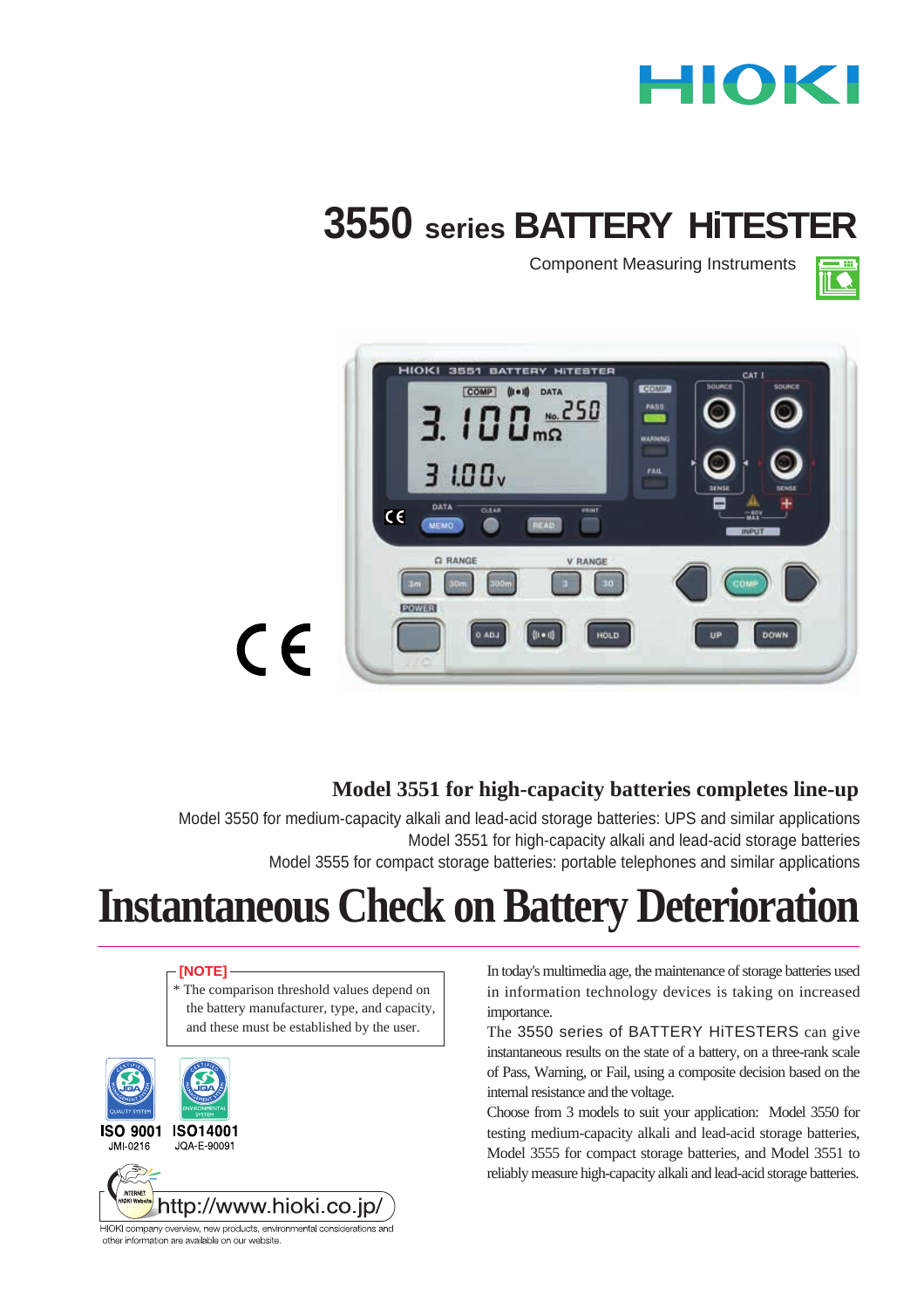# HIOKI

# **3550 series BATTERY HITEST**

Component Measuring Instruments





## **Model 3551 for high-capacity batteries completes line-up**

Model 3550 for medium-capacity alkali and lead-acid storage batteries: UPS and similar applications Model 3551 for high-capacity alkali and lead-acid storage batteries Model 3555 for compact storage batteries: portable telephones and similar applications

# **Instantaneous Check on Battery Deterioration**

### **[NOTE]**

\* The comparison threshold values depend on the battery manufacturer, type, and capacity, and these must be established by the user.



In today's multimedia age, the maintenance of storage batteries used in information technology devices is taking on increased importance.

The 3550 series of BATTERY HiTESTERS can give instantaneous results on the state of a battery, on a three-rank scale of Pass, Warning, or Fail, using a composite decision based on the internal resistance and the voltage.

Choose from 3 models to suit your application: Model 3550 for testing medium-capacity alkali and lead-acid storage batteries, Model 3555 for compact storage batteries, and Model 3551 to reliably measure high-capacity alkali and lead-acid storage batteries.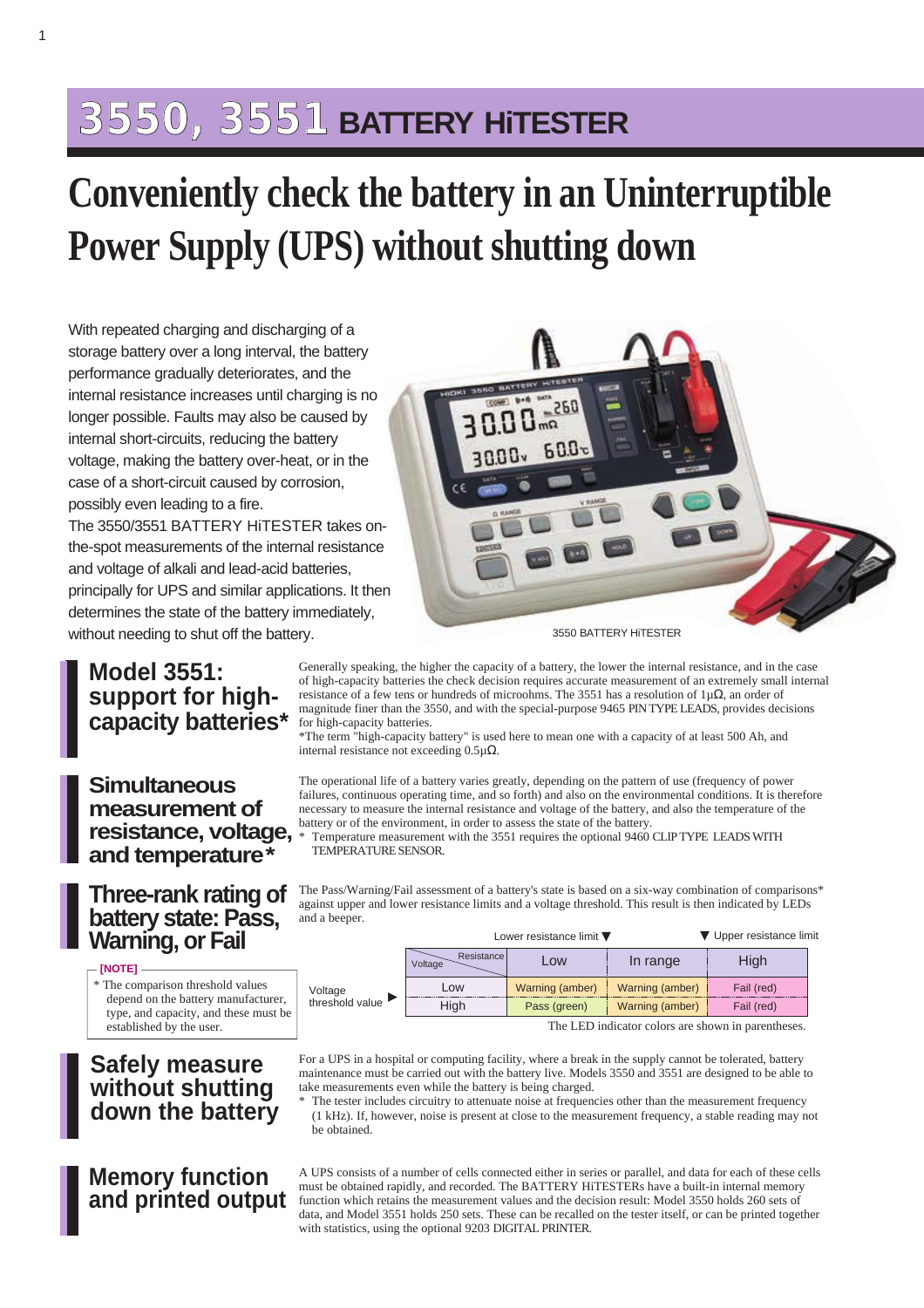## **3550, 3551 BATTERY HiTESTER**

# **Conveniently check the battery in an Uninterruptible Power Supply (UPS) without shutting down**

With repeated charging and discharging of a storage battery over a long interval, the battery performance gradually deteriorates, and the internal resistance increases until charging is no longer possible. Faults may also be caused by internal short-circuits, reducing the battery voltage, making the battery over-heat, or in the case of a short-circuit caused by corrosion, possibly even leading to a fire.

The 3550/3551 BATTERY HiTESTER takes onthe-spot measurements of the internal resistance and voltage of alkali and lead-acid batteries, principally for UPS and similar applications. It then determines the state of the battery immediately, without needing to shut off the battery.



3550 BATTERY HiTESTER

## **Model 3551: support for highcapacity batteries\***

### **Simultaneous measurement of resistance, voltage, and temperature\***

### **Three-rank rating of battery state: Pass, Warning, or Fail**

### **[NOTE]**

\* The comparison threshold values depend on the battery manufacturer, type, and capacity, and these must be established by the user.

| <b>Safely measure</b> |  |
|-----------------------|--|
| without shutting      |  |
| down the battery      |  |

## **Memory function and printed output**

| The Pass/Warning/Fail assessment of a battery's state is based on a six-way combination of comparisons*  |                        |                                             |          |                          |  |
|----------------------------------------------------------------------------------------------------------|------------------------|---------------------------------------------|----------|--------------------------|--|
| against upper and lower resistance limits and a voltage threshold. This result is then indicated by LEDs |                        |                                             |          |                          |  |
| and a beeper.                                                                                            |                        |                                             |          |                          |  |
|                                                                                                          |                        | Lower resistance limit $\blacktriangledown$ |          | ▼ Upper resistance limit |  |
|                                                                                                          | Resistancel<br>Voltage | Low                                         | In range | High                     |  |

The operational life of a battery varies greatly, depending on the pattern of use (frequency of power failures, continuous operating time, and so forth) and also on the environmental conditions. It is therefore necessary to measure the internal resistance and voltage of the battery, and also the temperature of the

\*The term "high-capacity battery" is used here to mean one with a capacity of at least 500 Ah, and

Generally speaking, the higher the capacity of a battery, the lower the internal resistance, and in the case of high-capacity batteries the check decision requires accurate measurement of an extremely small internal resistance of a few tens or hundreds of microohms. The 3551 has a resolution of 1µΩ, an order of magnitude finer than the 3550, and with the special-purpose 9465 PIN TYPE LEADS, provides decisions

Temperature measurement with the 3551 requires the optional 9460 CLIP TYPE LEADS WITH

battery or of the environment, in order to assess the state of the battery.

TEMPERATURE SENSOR.

▼

internal resistance not exceeding 0.5µΩ.

for high-capacity batteries.

an

Voltage threshold value

| High                                               | Pass (green) | Warning (amber) | Fail (red) |  |  |
|----------------------------------------------------|--------------|-----------------|------------|--|--|
| The LED indicator colors are shown in parentheses. |              |                 |            |  |  |

For a UPS in a hospital or computing facility, where a break in the supply cannot be tolerated, battery

Low | Warning (amber) | Warning (amber) | Fail (red)

maintenance must be carried out with the battery live. Models 3550 and 3551 are designed to be able to take measurements even while the battery is being charged.

\* The tester includes circuitry to attenuate noise at frequencies other than the measurement frequency (1 kHz). If, however, noise is present at close to the measurement frequency, a stable reading may not be obtained.

A UPS consists of a number of cells connected either in series or parallel, and data for each of these cells must be obtained rapidly, and recorded. The BATTERY HiTESTERs have a built-in internal memory function which retains the measurement values and the decision result: Model 3550 holds 260 sets of data, and Model 3551 holds 250 sets. These can be recalled on the tester itself, or can be printed together with statistics, using the optional 9203 DIGITAL PRINTER.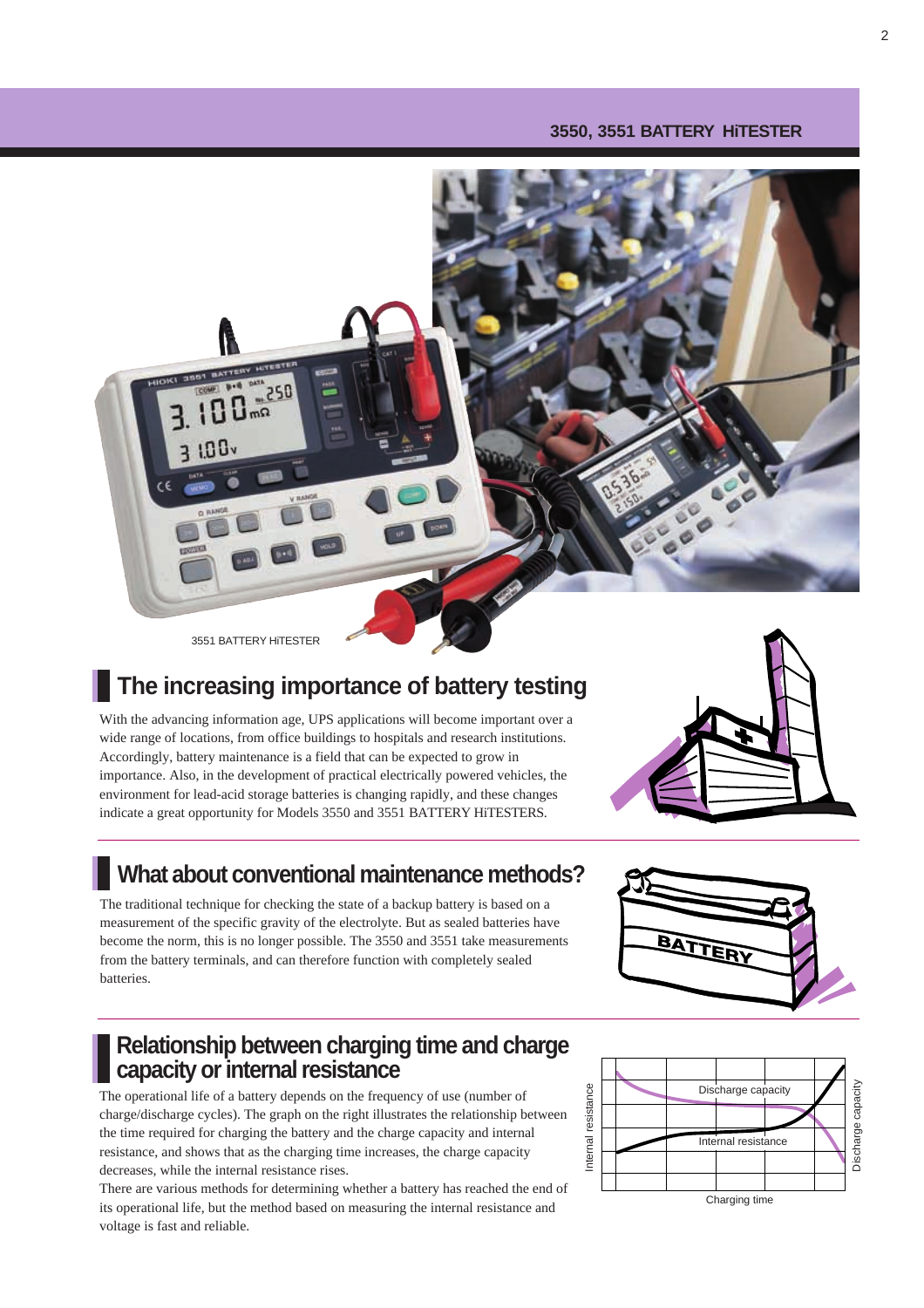### **3550, 3551 BATTERY HiTESTER**



3551 BATTERY HiTESTER

## **The increasing importance of battery testing**

With the advancing information age, UPS applications will become important over a wide range of locations, from office buildings to hospitals and research institutions. Accordingly, battery maintenance is a field that can be expected to grow in importance. Also, in the development of practical electrically powered vehicles, the environment for lead-acid storage batteries is changing rapidly, and these changes indicate a great opportunity for Models 3550 and 3551 BATTERY HiTESTERS.

## **What about conventional maintenance methods?**

The traditional technique for checking the state of a backup battery is based on a measurement of the specific gravity of the electrolyte. But as sealed batteries have become the norm, this is no longer possible. The 3550 and 3551 take measurements from the battery terminals, and can therefore function with completely sealed batteries.

## **Relationship between charging time and charge capacity or internal resistance**

The operational life of a battery depends on the frequency of use (number of charge/discharge cycles). The graph on the right illustrates the relationship between the time required for charging the battery and the charge capacity and internal resistance, and shows that as the charging time increases, the charge capacity decreases, while the internal resistance rises.

There are various methods for determining whether a battery has reached the end of its operational life, but the method based on measuring the internal resistance and voltage is fast and reliable.





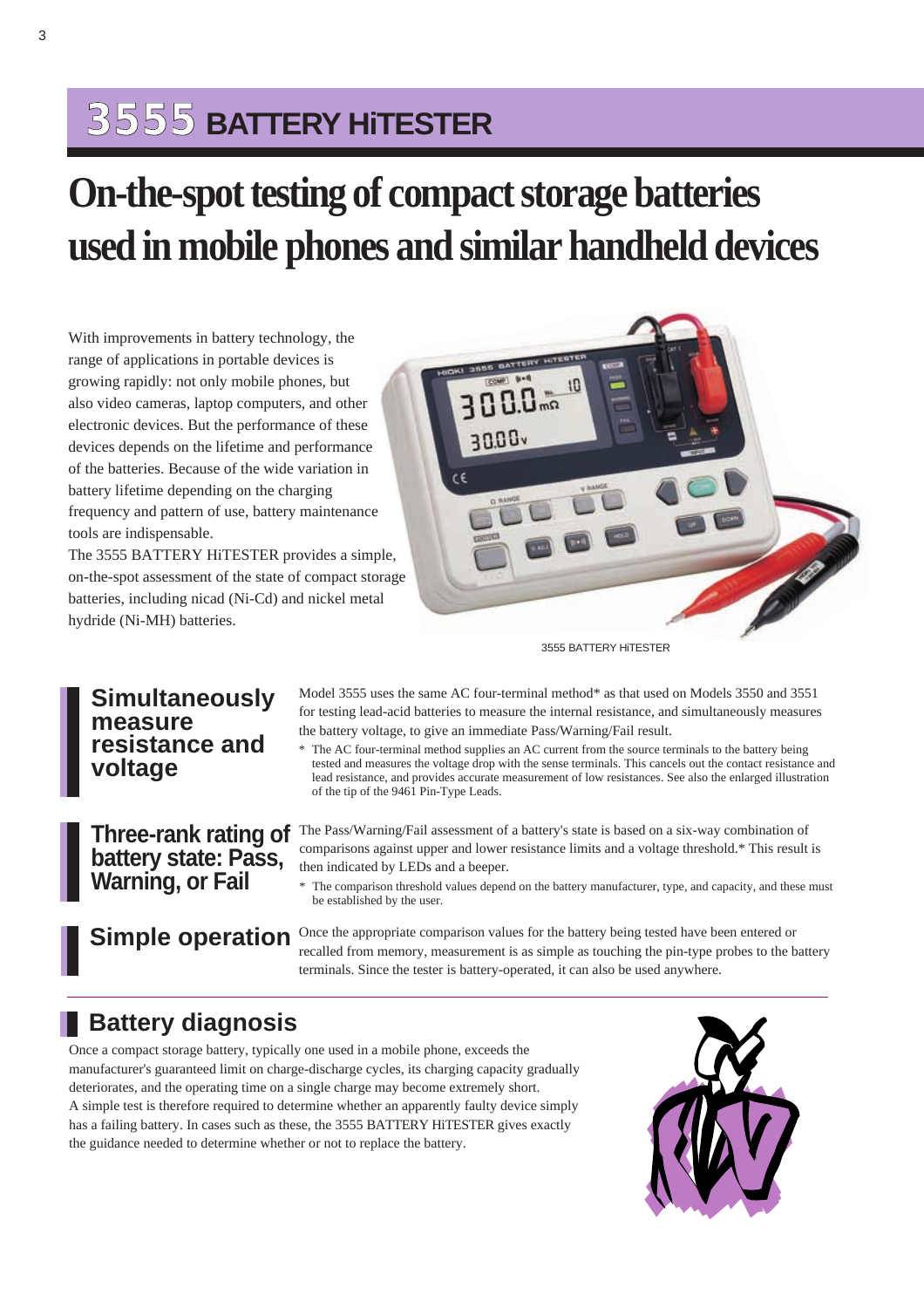## **3555 BATTERY HiTESTER**

# **On-the-spot testing of compact storage batteries used in mobile phones and similar handheld devices**

With improvements in battery technology, the range of applications in portable devices is growing rapidly: not only mobile phones, but also video cameras, laptop computers, and other electronic devices. But the performance of these devices depends on the lifetime and performance of the batteries. Because of the wide variation in battery lifetime depending on the charging frequency and pattern of use, battery maintenance tools are indispensable.

The 3555 BATTERY HiTESTER provides a simple, on-the-spot assessment of the state of compact storage batteries, including nicad (Ni-Cd) and nickel metal hydride (Ni-MH) batteries.



3555 BATTERY HiTESTER

### Model 3555 uses the same AC four-terminal method\* as that used on Models 3550 and 3551 for testing lead-acid batteries to measure the internal resistance, and simultaneously measures the battery voltage, to give an immediate Pass/Warning/Fail result.

\* The AC four-terminal method supplies an AC current from the source terminals to the battery being tested and measures the voltage drop with the sense terminals. This cancels out the contact resistance and lead resistance, and provides accurate measurement of low resistances. See also the enlarged illustration of the tip of the 9461 Pin-Type Leads.

The Pass/Warning/Fail assessment of a battery's state is based on a six-way combination of comparisons against upper and lower resistance limits and a voltage threshold.\* This result is then indicated by LEDs and a beeper.

\* The comparison threshold values depend on the battery manufacturer, type, and capacity, and these must be established by the user.

**Simple operation** Once the appropriate comparison values for the battery being tested have been entered or recalled from memory, measurement is as simple as touching the pin-type probes to the battery terminals. Since the tester is battery-operated, it can also be used anywhere.

## **Battery diagnosis**

Once a compact storage battery, typically one used in a mobile phone, exceeds the manufacturer's guaranteed limit on charge-discharge cycles, its charging capacity gradually deteriorates, and the operating time on a single charge may become extremely short. A simple test is therefore required to determine whether an apparently faulty device simply has a failing battery. In cases such as these, the 3555 BATTERY HiTESTER gives exactly the guidance needed to determine whether or not to replace the battery.



## **Simultaneously measure resistance and voltage**

**Three-rank rating of battery state: Pass, Warning, or Fail**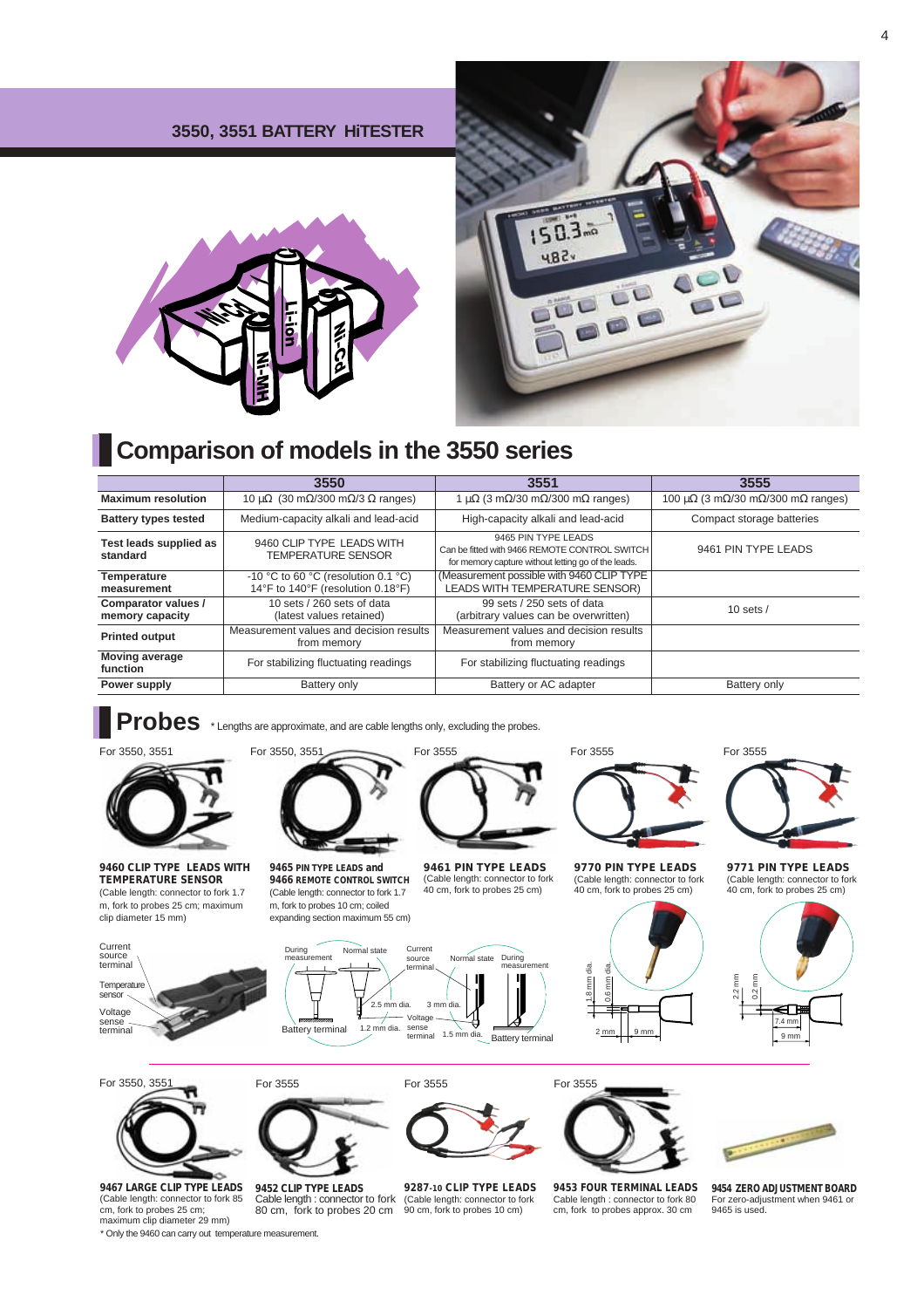### **3550, 3551 BATTERY HiTESTER**





## **Comparison of models in the 3550 series**

|                                        | 3550                                                                                                                                                                                  | 3551                                                                        | 3555                                                                 |  |
|----------------------------------------|---------------------------------------------------------------------------------------------------------------------------------------------------------------------------------------|-----------------------------------------------------------------------------|----------------------------------------------------------------------|--|
| <b>Maximum resolution</b>              | 10 $\mu\Omega$ (30 m $\Omega$ /300 m $\Omega$ /3 $\Omega$ ranges)                                                                                                                     | 1 $\mu\Omega$ (3 m $\Omega$ /30 m $\Omega$ /300 m $\Omega$ ranges)          | 100 $\mu\Omega$ (3 m $\Omega$ /30 m $\Omega$ /300 m $\Omega$ ranges) |  |
| <b>Battery types tested</b>            | Medium-capacity alkali and lead-acid                                                                                                                                                  | High-capacity alkali and lead-acid                                          | Compact storage batteries                                            |  |
| Test leads supplied as<br>standard     | 9465 PIN TYPE LEADS<br>9460 CLIP TYPE LEADS WITH<br>Can be fitted with 9466 REMOTE CONTROL SWITCH<br><b>TEMPERATURE SENSOR</b><br>for memory capture without letting go of the leads. |                                                                             | 9461 PIN TYPE LEADS                                                  |  |
| Temperature<br>measurement             | -10 °C to 60 °C (resolution 0.1 °C)<br>14°F to 140°F (resolution 0.18°F)                                                                                                              | (Measurement possible with 9460 CLIP TYPE<br>LEADS WITH TEMPERATURE SENSOR) |                                                                      |  |
| Comparator values /<br>memory capacity | 10 sets / 260 sets of data<br>(latest values retained)                                                                                                                                | 99 sets / 250 sets of data<br>(arbitrary values can be overwritten)         | 10 sets $/$ —                                                        |  |
| <b>Printed output</b>                  | Measurement values and decision results<br>from memory                                                                                                                                | Measurement values and decision results<br>from memory                      |                                                                      |  |
| <b>Moving average</b><br>function      | For stabilizing fluctuating readings                                                                                                                                                  | For stabilizing fluctuating readings                                        |                                                                      |  |
| Power supply                           | Battery only                                                                                                                                                                          | Battery or AC adapter                                                       | Battery only                                                         |  |

**Probes** \* Lengths are approximate, and are cable lengths only, excluding the probes.



**9460 CLIP TYPE LEADS WITH TEMPERATURE SENSOR** (Cable length: connector to fork 1.7 m, fork to probes 25 cm; maximum clip diameter 15 mm)



**9465 PIN TYPE LEADS and 9466 REMOTE CONTROL SWITCH**  (Cable length: connector to fork 1.7 m, fork to probes 10 cm; coiled expanding section maximum 55 cm)

**9461 PIN TYPE LEADS** (Cable length: connector to fork 40 cm, fork to probes 25 cm)



**9770 PIN TYPE LEADS** (Cable length: connector to fork 40 cm, fork to probes 25 cm)



For 3555

**9771 PIN TYPE LEADS** (Cable length: connector to fork 40 cm, fork to probes 25 cm)



Temper sensor Voltage sense sense -<br>terminal Current source



For 3550, 3551 For 3555 For 3555



**9453 FOUR TERMINAL LEADS** Cable length : connector to fork 80 cm, fork to probes approx. 30 cm

**9467 LARGE CLIP TYPE LEADS**  (Cable length: connector to fork 85 cm, fork to probes 25 cm; maximum clip diameter 29 mm)

\* Only the 9460 can carry out temperature measurement.

**9452 CLIP TYPE LEADS** Cable length : connector to fork 80 cm, fork to probes 20 cm

For 3555

**9287-10 CLIP TYPE LEADS**  (Cable length: connector to fork 90 cm, fork to probes 10 cm)

**9454 ZERO ADJUSTMENT BOARD** For zero-adjustment when 9461 or 9465 is used.

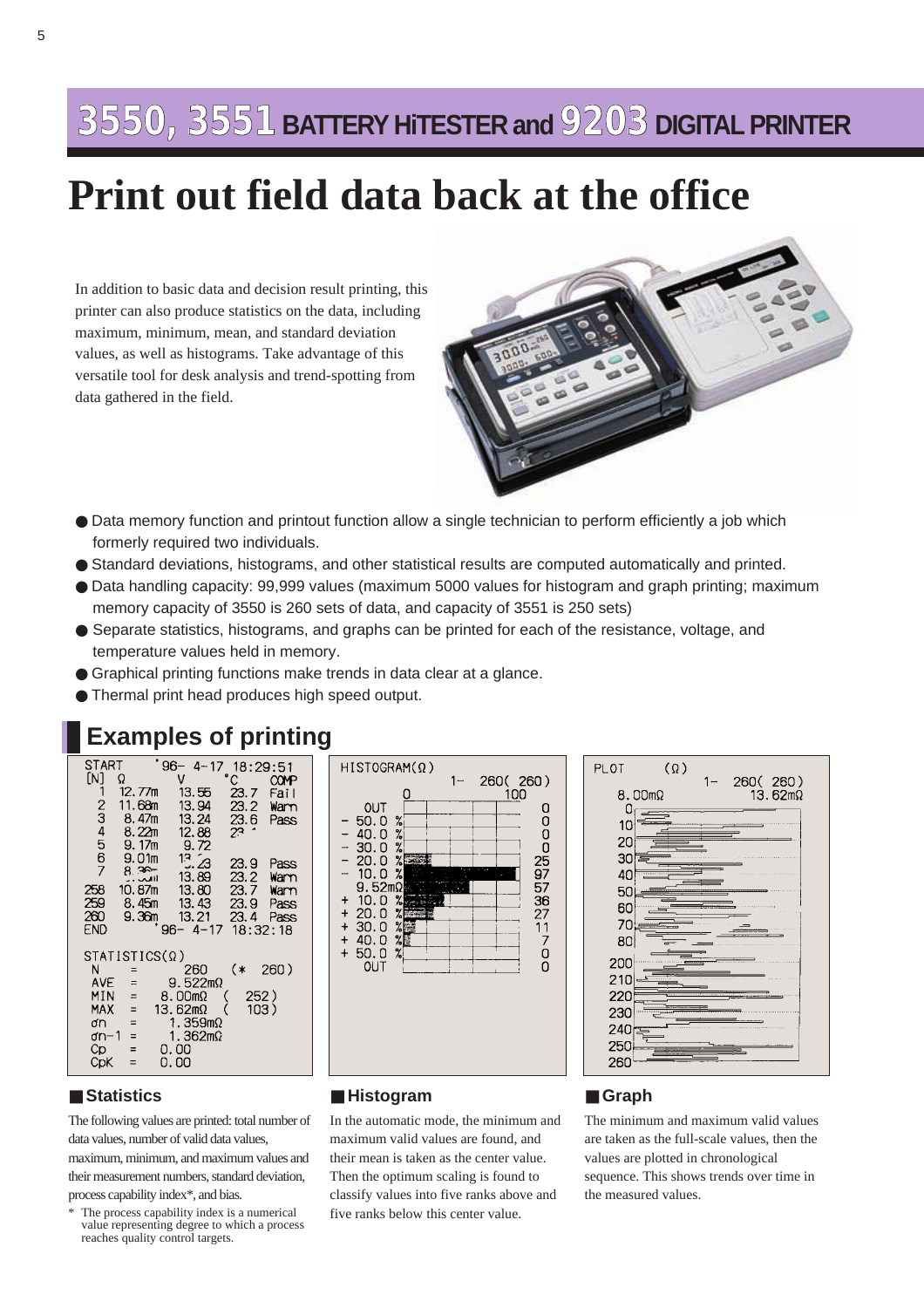## **3550, 3551 BATTERY HiTESTER and9203 DIGITAL PRINTER**

## **Print out field data back at the office**

In addition to basic data and decision result printing, this printer can also produce statistics on the data, including maximum, minimum, mean, and standard deviation values, as well as histograms. Take advantage of this versatile tool for desk analysis and trend-spotting from data gathered in the field.



- Data memory function and printout function allow a single technician to perform efficiently a job which formerly required two individuals.
- Standard deviations, histograms, and other statistical results are computed automatically and printed.
- Data handling capacity: 99,999 values (maximum 5000 values for histogram and graph printing; maximum memory capacity of 3550 is 260 sets of data, and capacity of 3551 is 250 sets)
- Separate statistics, histograms, and graphs can be printed for each of the resistance, voltage, and temperature values held in memory.
- Graphical printing functions make trends in data clear at a glance.
- Thermal print head produces high speed output.

## **Examples of printing**

| SIARI<br>[N]<br>1<br>234567                        | Ω<br>12.77m<br>11.68m<br>8.47m<br>8.22m<br>9.17m                              | 96–<br>$4 - 17$<br>V<br>13.55<br>13.94<br>13.24<br>12.88<br>9.72                                      | 18:29:51<br>$\degree$ C<br>23.7<br>23.2<br>23.6<br>2٦ | <b>COMP</b><br>Fail<br>Warn<br>Pass  |
|----------------------------------------------------|-------------------------------------------------------------------------------|-------------------------------------------------------------------------------------------------------|-------------------------------------------------------|--------------------------------------|
| 258<br>259<br>260<br>END                           | 9.01 <sub>m</sub><br>8.38<br>10.87m<br>8.45m<br>9.36m                         | 13.23<br>13.89<br>13.80<br>13.43<br>13.21<br>$96 - 4 - 17$                                            | 23.9<br>23.2<br>23.7<br>23.9<br>23.4<br>18:32:18      | Pass<br>Warn<br>Warn<br>Pass<br>Pass |
| N<br>AVE<br>MIN<br>MAX<br>ơn<br>ơn−1<br>Cp.<br>CpK | STATISTICS(Ω)<br>Ξ<br>$=$<br>$=$<br>$=$<br>$\equiv$<br>$=$<br>$=$<br>$\equiv$ | 260<br>$9.522$ m $\Omega$<br>8.00mΩ<br>13.62mΩ<br>1.359m $\Omega$<br>1.362m $\Omega$<br>0.00<br>0. 00 | (*<br>252)<br>103)                                    | 260)                                 |





### ■ **Histogram**

In the automatic mode, the minimum and maximum valid values are found, and their mean is taken as the center value. Then the optimum scaling is found to classify values into five ranks above and five ranks below this center value.

### ■ **Graph**

The minimum and maximum valid values are taken as the full-scale values, then the values are plotted in chronological sequence. This shows trends over time in the measured values.

### ■ **Statistics**

The following values are printed: total number of data values, number of valid data values, maximum, minimum, and maximum values and their measurement numbers, standard deviation, process capability index\*, and bias.

The process capability index is a numerical value representing degree to which a process reaches quality control targets.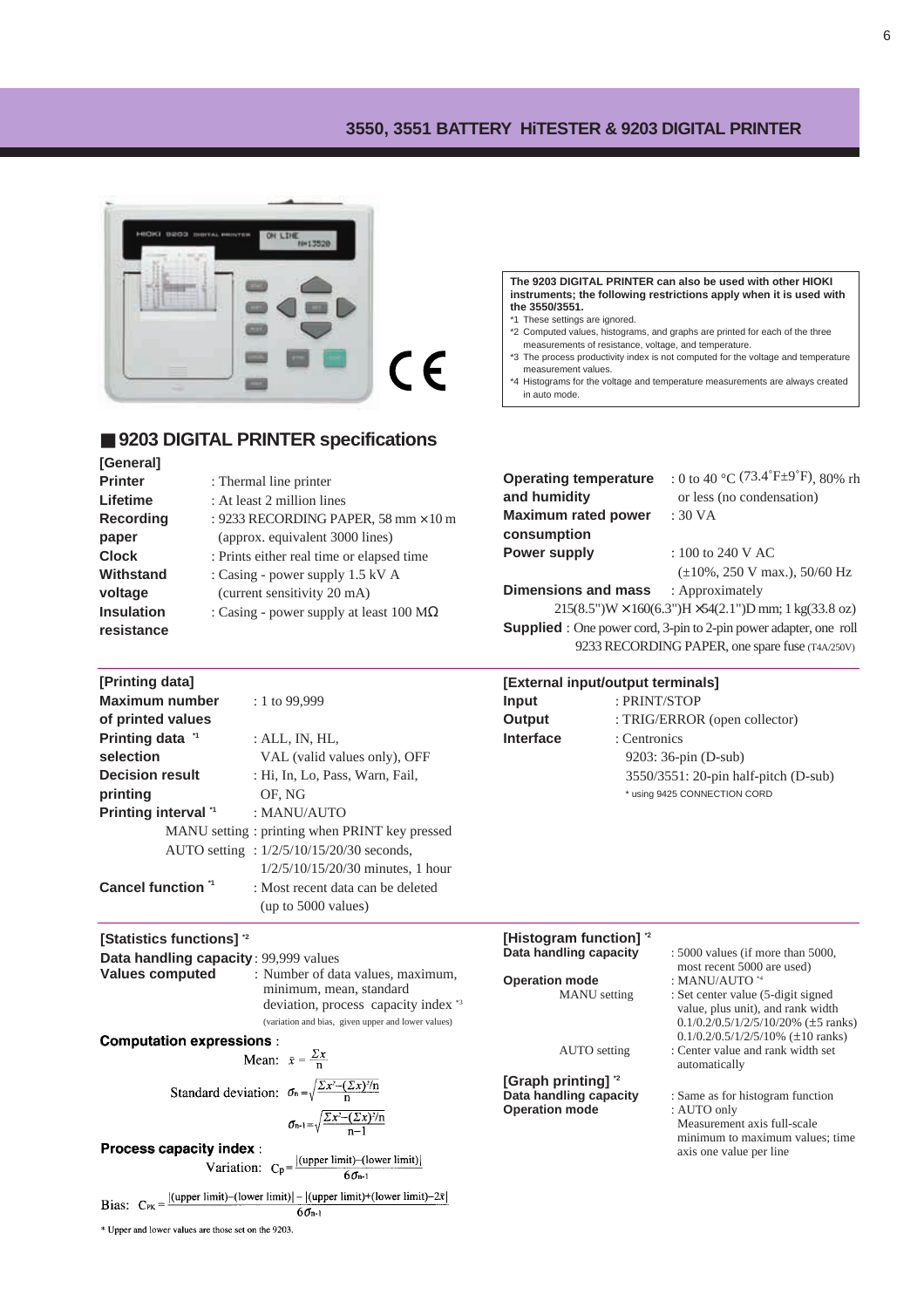### **3550, 3551 BATTERY HiTESTER & 9203 DIGITAL PRINTER**



### ■ **9203 DIGITAL PRINTER specifications**

**[General] Printer** : Thermal line printer **Lifetime** : At least 2 million lines **Recording** : 9233 RECORDING PAPER, 58 mm × 10 m **paper** (approx. equivalent 3000 lines) **Clock** : Prints either real time or elapsed time **Withstand** : Casing - power supply 1.5 kV A **voltage** (current sensitivity 20 mA) **Insulation** : Casing - power supply at least 100 MΩ **resistance**

**The 9203 DIGITAL PRINTER can also be used with other HIOKI instruments; the following restrictions apply when it is used with the 3550/3551.**

6

- \*1 These settings are ignored.
- \*2 Computed values, histograms, and graphs are printed for each of the three measurements of resistance, voltage, and temperature.
- \*3 The process productivity index is not computed for the voltage and temperature measurement values.

\*4 Histograms for the voltage and temperature measurements are always created in auto mode.

| <b>Operating temperature</b><br>and humidity | : 0 to 40 °C (73.4°F±9°F), 80% rh<br>or less (no condensation)                                                                       |  |  |
|----------------------------------------------|--------------------------------------------------------------------------------------------------------------------------------------|--|--|
| <b>Maximum rated power</b><br>consumption    | : 30 VA                                                                                                                              |  |  |
| <b>Power supply</b>                          | $: 100$ to 240 V AC                                                                                                                  |  |  |
| <b>Dimensions and mass</b>                   | $(\pm 10\%, 250 \text{ V} \text{ max.})$ , 50/60 Hz<br>: Approximately                                                               |  |  |
|                                              | $215(8.5")$ W × 160(6.3")H × 54(2.1")D mm; 1 kg(33.8 oz)<br><b>Supplied</b> : One power cord, 3-pin to 2-pin power adapter, one roll |  |  |
|                                              | 9233 RECORDING PAPER, one spare fuse (T4A/250V)                                                                                      |  |  |
| FE-standal in mittarities it tannalmatel     |                                                                                                                                      |  |  |

| [Printing data]<br><b>Maximum number</b><br>of printed values<br>Printing data <sup>1</sup><br>selection<br><b>Decision result</b><br>printing<br>Printing interval "<br>Cancel function " | : 1 to $99.999$<br>: ALL, IN, $HL$ ,<br>VAL (valid values only), OFF<br>: Hi, In, Lo, Pass, Warn, Fail,<br>OF, NG<br>: MANU/AUTO<br>MANU setting: printing when PRINT key pressed<br>AUTO setting: 1/2/5/10/15/20/30 seconds,<br>$1/2/5/10/15/20/30$ minutes, 1 hour<br>: Most recent data can be deleted<br>(up to 5000 values)                                                                                                       | [External input/output terminals]<br>Input<br>: PRINT/STOP<br>Output<br><b>Interface</b><br>: Centronics                                                                                                       | : TRIG/ERROR (open collector)<br>9203: 36-pin (D-sub)<br>3550/3551: 20-pin half-pitch (D-sub)<br>* using 9425 CONNECTION CORD                                                                                                                                                                                                                                                                                                                              |
|--------------------------------------------------------------------------------------------------------------------------------------------------------------------------------------------|----------------------------------------------------------------------------------------------------------------------------------------------------------------------------------------------------------------------------------------------------------------------------------------------------------------------------------------------------------------------------------------------------------------------------------------|----------------------------------------------------------------------------------------------------------------------------------------------------------------------------------------------------------------|------------------------------------------------------------------------------------------------------------------------------------------------------------------------------------------------------------------------------------------------------------------------------------------------------------------------------------------------------------------------------------------------------------------------------------------------------------|
| [Statistics functions] **<br>Data handling capacity: 99,999 values<br><b>Values computed</b><br><b>Computation expressions:</b><br><b>Process capacity index:</b>                          | : Number of data values, maximum,<br>minimum, mean, standard<br>deviation, process capacity index *3<br>(variation and bias, given upper and lower values)<br>Mean: $\bar{x} = \frac{\sum x}{n}$<br>Standard deviation: $\sigma_n = \sqrt{\frac{\sum x^2 - (\sum x)^2/n}{n}}$<br>$\sigma_{n-1} = \sqrt{\frac{\sum x^2 - (\sum x)^2/n}{n-1}}$<br>Variation: $C_p = \frac{ (\text{upper limit}) - (\text{lower limit}) }{6\sigma_{p-1}}$ | [Histogram function] <sup>2</sup><br>Data handling capacity<br><b>Operation mode</b><br><b>MANU</b> setting<br><b>AUTO</b> setting<br>[Graph printing] $^2$<br>Data handling capacity<br><b>Operation mode</b> | : 5000 values (if more than 5000,<br>most recent 5000 are used)<br>: MANU/AUTO *4<br>: Set center value (5-digit signed<br>value, plus unit), and rank width<br>$0.1/0.2/0.5/1/2/5/10/20\%$ ( $\pm$ 5 ranks)<br>$0.1/0.2/0.5/1/2/5/10\%$ (±10 ranks)<br>: Center value and rank width set<br>automatically<br>: Same as for histogram function<br>: AUTO only<br>Measurement axis full-scale<br>minimum to maximum values; time<br>axis one value per line |
| * Upper and lower values are those set on the 9203.                                                                                                                                        | Bias: $C_{\text{PK}} = \frac{ (\text{upper limit}) - (\text{lower limit})  -  (\text{upper limit}) + (\text{lower limit}) - 2\bar{x} }{\sqrt{2\pi}}$<br>60n1                                                                                                                                                                                                                                                                           |                                                                                                                                                                                                                |                                                                                                                                                                                                                                                                                                                                                                                                                                                            |